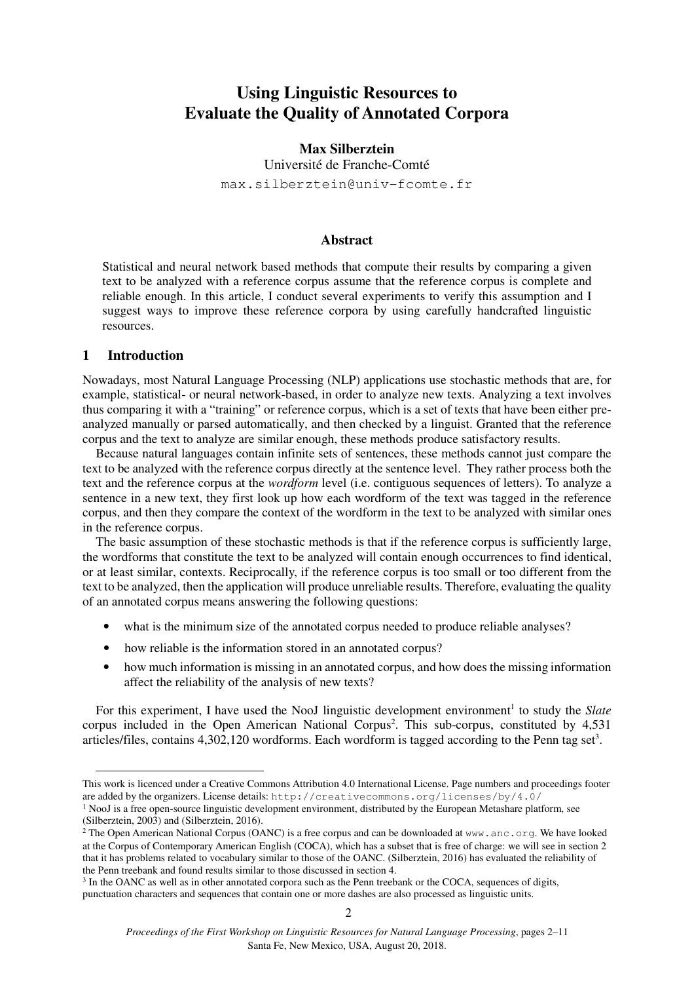# **Using Linguistic Resources to Evaluate the Quality of Annotated Corpora**

**Max Silberztein**  Université de Franche-Comté max.silberztein@univ-fcomte.fr

## **Abstract**

Statistical and neural network based methods that compute their results by comparing a given text to be analyzed with a reference corpus assume that the reference corpus is complete and reliable enough. In this article, I conduct several experiments to verify this assumption and I suggest ways to improve these reference corpora by using carefully handcrafted linguistic resources.

# **1 Introduction\***

j

Nowadays, most Natural Language Processing (NLP) applications use stochastic methods that are, for example, statistical- or neural network-based, in order to analyze new texts. Analyzing a text involves thus comparing it with a "training" or reference corpus, which is a set of texts that have been either preanalyzed manually or parsed automatically, and then checked by a linguist. Granted that the reference corpus and the text to analyze are similar enough, these methods produce satisfactory results.

Because natural languages contain infinite sets of sentences, these methods cannot just compare the text to be analyzed with the reference corpus directly at the sentence level. They rather process both the text and the reference corpus at the *wordform* level (i.e. contiguous sequences of letters). To analyze a sentence in a new text, they first look up how each wordform of the text was tagged in the reference corpus, and then they compare the context of the wordform in the text to be analyzed with similar ones in the reference corpus.

The basic assumption of these stochastic methods is that if the reference corpus is sufficiently large, the wordforms that constitute the text to be analyzed will contain enough occurrences to find identical, or at least similar, contexts. Reciprocally, if the reference corpus is too small or too different from the text to be analyzed, then the application will produce unreliable results. Therefore, evaluating the quality of an annotated corpus means answering the following questions:

- what is the minimum size of the annotated corpus needed to produce reliable analyses?
- how reliable is the information stored in an annotated corpus?
- how much information is missing in an annotated corpus, and how does the missing information affect the reliability of the analysis of new texts?

For this experiment, I have used the NooJ linguistic development environment<sup>1</sup> to study the Slate corpus included in the Open American National Corpus 2 . This sub-corpus, constituted by 4,531 articles/files, contains  $4,302,120$  wordforms. Each wordform is tagged according to the Penn tag set<sup>3</sup>.

This work is licenced under a Creative Commons Attribution 4.0 International License. Page numbers and proceedings footer are added by the organizers. License details: http://creativecommons.org/licenses/by/4.0/

<sup>&</sup>lt;sup>1</sup> NooJ is a free open-source linguistic development environment, distributed by the European Metashare platform, see (Silberztein, 2003) and (Silberztein, 2016).

<sup>&</sup>lt;sup>2</sup> The Open American National Corpus (OANC) is a free corpus and can be downloaded at www.anc.org. We have looked at the Corpus of Contemporary American English (COCA), which has a subset that is free of charge: we will see in section 2 that it has problems related to vocabulary similar to those of the OANC. (Silberztein, 2016) has evaluated the reliability of the Penn treebank and found results similar to those discussed in section 4.

<sup>&</sup>lt;sup>3</sup> In the OANC as well as in other annotated corpora such as the Penn treebank or the COCA, sequences of digits, punctuation characters and sequences that contain one or more dashes are also processed as linguistic units.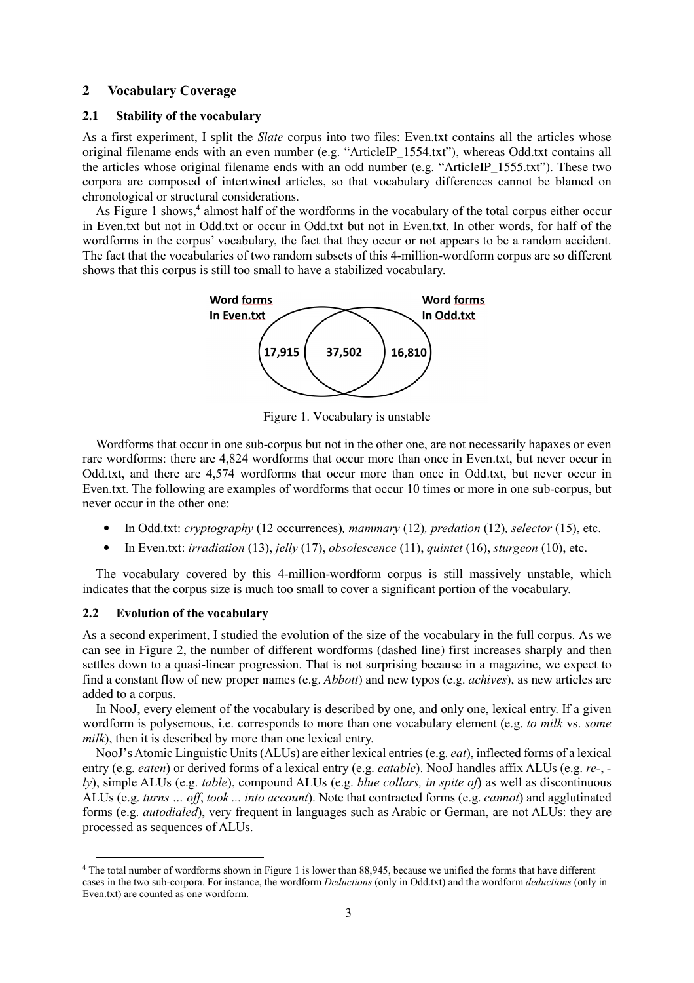## **2 Vocabulary Coverage**

## **2.1 Stability of the vocabulary**

As a first experiment, I split the *Slate* corpus into two files: Even.txt contains all the articles whose original filename ends with an even number (e.g. "ArticleIP\_1554.txt"), whereas Odd.txt contains all the articles whose original filename ends with an odd number (e.g. "ArticleIP\_1555.txt"). These two corpora are composed of intertwined articles, so that vocabulary differences cannot be blamed on chronological or structural considerations.

As Figure 1 shows,<sup>4</sup> almost half of the wordforms in the vocabulary of the total corpus either occur in Even.txt but not in Odd.txt or occur in Odd.txt but not in Even.txt. In other words, for half of the wordforms in the corpus' vocabulary, the fact that they occur or not appears to be a random accident. The fact that the vocabularies of two random subsets of this 4-million-wordform corpus are so different shows that this corpus is still too small to have a stabilized vocabulary.



Figure 1. Vocabulary is unstable

Wordforms that occur in one sub-corpus but not in the other one, are not necessarily hapaxes or even rare wordforms: there are 4,824 wordforms that occur more than once in Even.txt, but never occur in Odd.txt, and there are 4,574 wordforms that occur more than once in Odd.txt, but never occur in Even.txt. The following are examples of wordforms that occur 10 times or more in one sub-corpus, but never occur in the other one:

- In Odd.txt: *cryptography* (12 occurrences)*, mammary* (12)*, predation* (12)*, selector* (15), etc.
- In Even.txt: *irradiation* (13), *jelly* (17), *obsolescence* (11), *quintet* (16), *sturgeon* (10), etc.

The vocabulary covered by this 4-million-wordform corpus is still massively unstable, which indicates that the corpus size is much too small to cover a significant portion of the vocabulary.

### **2.2 Evolution of the vocabulary**

j

As a second experiment, I studied the evolution of the size of the vocabulary in the full corpus. As we can see in Figure 2, the number of different wordforms (dashed line) first increases sharply and then settles down to a quasi-linear progression. That is not surprising because in a magazine, we expect to find a constant flow of new proper names (e.g. *Abbott*) and new typos (e.g. *achives*), as new articles are added to a corpus.

In NooJ, every element of the vocabulary is described by one, and only one, lexical entry. If a given wordform is polysemous, i.e. corresponds to more than one vocabulary element (e.g. *to milk* vs. *some milk*), then it is described by more than one lexical entry.

NooJ's Atomic Linguistic Units (ALUs) are either lexical entries (e.g. *eat*), inflected forms of a lexical entry (e.g. *eaten*) or derived forms of a lexical entry (e.g. *eatable*). NooJ handles affix ALUs (e.g. *re-*,  *ly*), simple ALUs (e.g. *table*), compound ALUs (e.g. *blue collars, in spite of*) as well as discontinuous ALUs (e.g. *turns … off*, *took ... into account*). Note that contracted forms (e.g. *cannot*) and agglutinated forms (e.g. *autodialed*), very frequent in languages such as Arabic or German, are not ALUs: they are processed as sequences of ALUs.

<sup>4</sup> The total number of wordforms shown in Figure 1 is lower than 88,945, because we unified the forms that have different cases in the two sub-corpora. For instance, the wordform *Deductions* (only in Odd.txt) and the wordform *deductions* (only in Even.txt) are counted as one wordform.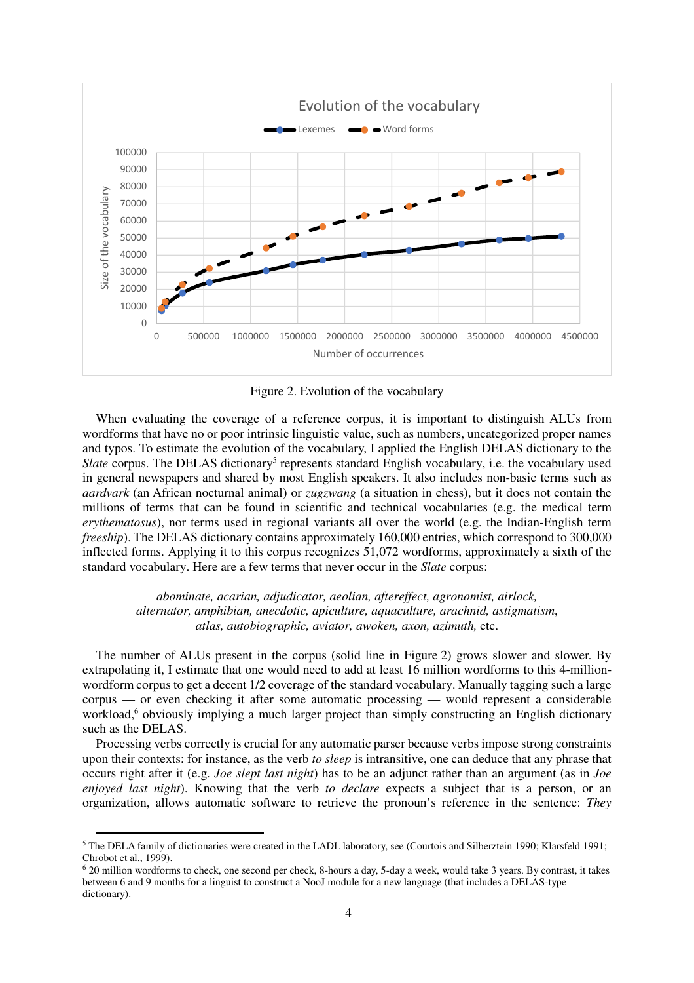

Figure 2. Evolution of the vocabulary

When evaluating the coverage of a reference corpus, it is important to distinguish ALUs from wordforms that have no or poor intrinsic linguistic value, such as numbers, uncategorized proper names and typos. To estimate the evolution of the vocabulary, I applied the English DELAS dictionary to the Slate corpus. The DELAS dictionary<sup>5</sup> represents standard English vocabulary, i.e. the vocabulary used in general newspapers and shared by most English speakers. It also includes non-basic terms such as *aardvark* (an African nocturnal animal) or *zugzwang* (a situation in chess), but it does not contain the millions of terms that can be found in scientific and technical vocabularies (e.g. the medical term *erythematosus*), nor terms used in regional variants all over the world (e.g. the Indian-English term *freeship*). The DELAS dictionary contains approximately 160,000 entries, which correspond to 300,000 inflected forms. Applying it to this corpus recognizes 51,072 wordforms, approximately a sixth of the standard vocabulary. Here are a few terms that never occur in the *Slate* corpus:

*abominate, acarian, adjudicator, aeolian, aftereffect, agronomist, airlock, alternator, amphibian, anecdotic, apiculture, aquaculture, arachnid, astigmatism*, *atlas, autobiographic, aviator, awoken, axon, azimuth,* etc.

The number of ALUs present in the corpus (solid line in Figure 2) grows slower and slower. By extrapolating it, I estimate that one would need to add at least 16 million wordforms to this 4-millionwordform corpus to get a decent 1/2 coverage of the standard vocabulary. Manually tagging such a large corpus — or even checking it after some automatic processing — would represent a considerable workload,<sup>6</sup> obviously implying a much larger project than simply constructing an English dictionary such as the DELAS.

Processing verbs correctly is crucial for any automatic parser because verbs impose strong constraints upon their contexts: for instance, as the verb *to sleep* is intransitive, one can deduce that any phrase that occurs right after it (e.g. *Joe slept last night*) has to be an adjunct rather than an argument (as in *Joe enjoyed last night*). Knowing that the verb *to declare* expects a subject that is a person, or an organization, allows automatic software to retrieve the pronoun's reference in the sentence: *They* 

j

<sup>&</sup>lt;sup>5</sup> The DELA family of dictionaries were created in the LADL laboratory, see (Courtois and Silberztein 1990; Klarsfeld 1991; Chrobot et al., 1999).

<sup>6</sup> 20 million wordforms to check, one second per check, 8-hours a day, 5-day a week, would take 3 years. By contrast, it takes between 6 and 9 months for a linguist to construct a NooJ module for a new language (that includes a DELAS-type dictionary).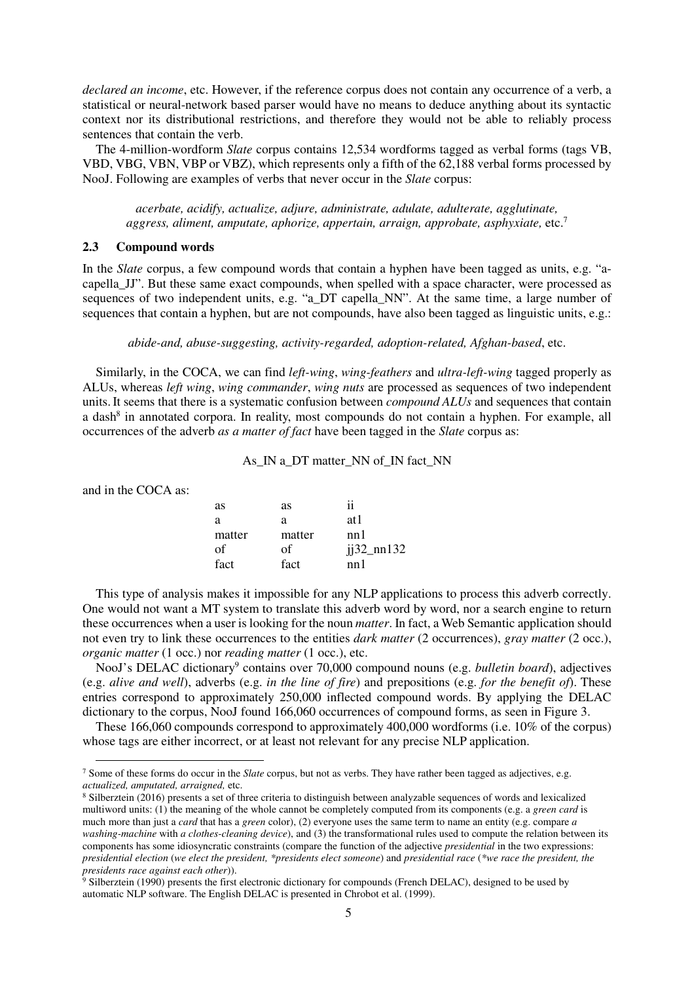*declared an income*, etc. However, if the reference corpus does not contain any occurrence of a verb, a statistical or neural-network based parser would have no means to deduce anything about its syntactic context nor its distributional restrictions, and therefore they would not be able to reliably process sentences that contain the verb.

The 4-million-wordform *Slate* corpus contains 12,534 wordforms tagged as verbal forms (tags VB, VBD, VBG, VBN, VBP or VBZ), which represents only a fifth of the 62,188 verbal forms processed by NooJ. Following are examples of verbs that never occur in the *Slate* corpus:

*acerbate, acidify, actualize, adjure, administrate, adulate, adulterate, agglutinate, aggress, aliment, amputate, aphorize, appertain, arraign, approbate, asphyxiate,* etc.<sup>7</sup>

#### **2.3 Compound words**

In the *Slate* corpus, a few compound words that contain a hyphen have been tagged as units, e.g. "acapella\_JJ". But these same exact compounds, when spelled with a space character, were processed as sequences of two independent units, e.g. "a\_DT capella\_NN". At the same time, a large number of sequences that contain a hyphen, but are not compounds, have also been tagged as linguistic units, e.g.:

## *abide-and, abuse-suggesting, activity-regarded, adoption-related, Afghan-based*, etc.

Similarly, in the COCA, we can find *left-wing*, *wing-feathers* and *ultra-left-wing* tagged properly as ALUs, whereas *left wing*, *wing commander*, *wing nuts* are processed as sequences of two independent units.It seems that there is a systematic confusion between *compound ALUs* and sequences that contain a dash<sup>8</sup> in annotated corpora. In reality, most compounds do not contain a hyphen. For example, all occurrences of the adverb *as a matter of fact* have been tagged in the *Slate* corpus as:

## As IN a DT matter NN of IN fact NN

| and in the COCA as: |  |  |
|---------------------|--|--|
|---------------------|--|--|

 $\overline{a}$ 

| as     | as     | ii           |
|--------|--------|--------------|
| a      | a      | at 1         |
| matter | matter | nn 1         |
| of     | οf     | $j32$ _nn132 |
| fact   | fact   | nn 1         |

This type of analysis makes it impossible for any NLP applications to process this adverb correctly. One would not want a MT system to translate this adverb word by word, nor a search engine to return these occurrences when a user is looking for the noun *matter*. In fact, a Web Semantic application should not even try to link these occurrences to the entities *dark matter* (2 occurrences), *gray matter* (2 occ.), *organic matter* (1 occ.) nor *reading matter* (1 occ.), etc.

NooJ's DELAC dictionary<sup>9</sup> contains over 70,000 compound nouns (e.g. *bulletin board*), adjectives (e.g. *alive and well*), adverbs (e.g. *in the line of fire*) and prepositions (e.g. *for the benefit of*). These entries correspond to approximately 250,000 inflected compound words. By applying the DELAC dictionary to the corpus, NooJ found 166,060 occurrences of compound forms, as seen in Figure 3.

These 166,060 compounds correspond to approximately 400,000 wordforms (i.e. 10% of the corpus) whose tags are either incorrect, or at least not relevant for any precise NLP application.

<sup>7</sup> Some of these forms do occur in the *Slate* corpus, but not as verbs. They have rather been tagged as adjectives, e.g. *actualized, amputated, arraigned,* etc.

<sup>8</sup> Silberztein (2016) presents a set of three criteria to distinguish between analyzable sequences of words and lexicalized multiword units: (1) the meaning of the whole cannot be completely computed from its components (e.g. a *green card* is much more than just a *card* that has a *green* color), (2) everyone uses the same term to name an entity (e.g. compare *a washing-machine* with *a clothes-cleaning device*), and (3) the transformational rules used to compute the relation between its components has some idiosyncratic constraints (compare the function of the adjective *presidential* in the two expressions: *presidential election* (*we elect the president, \*presidents elect someone*) and *presidential race* (*\*we race the president, the presidents race against each other*)). 9 Silberztein (1990) presents the first electronic dictionary for compounds (French DELAC), designed to be used by

automatic NLP software. The English DELAC is presented in Chrobot et al. (1999).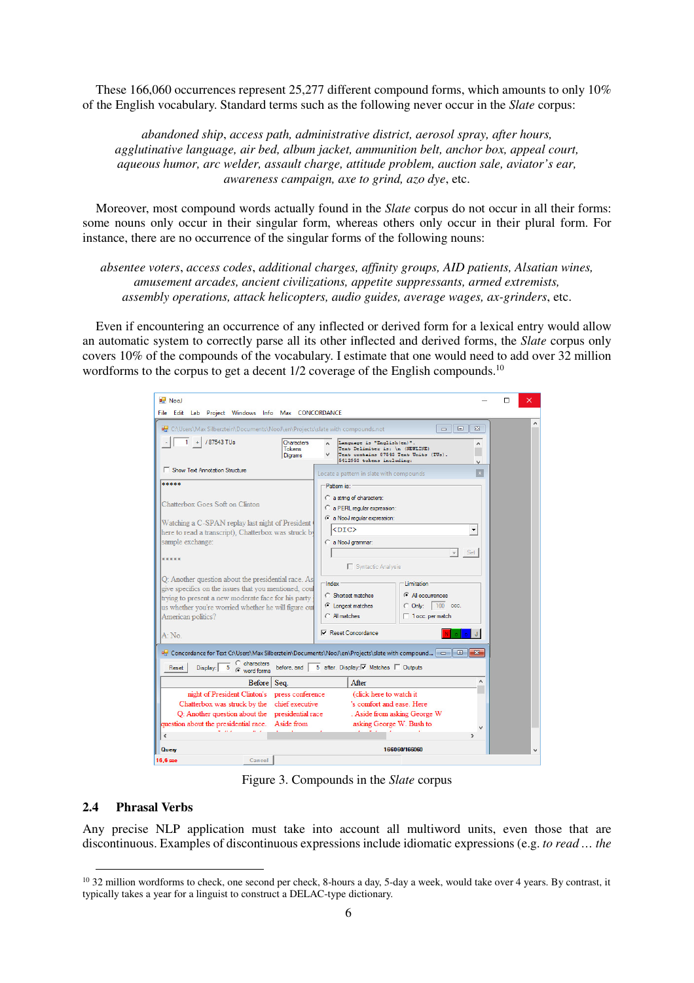These 166,060 occurrences represent 25,277 different compound forms, which amounts to only 10% of the English vocabulary. Standard terms such as the following never occur in the *Slate* corpus:

*abandoned ship*, *access path, administrative district, aerosol spray, after hours, agglutinative language, air bed, album jacket, ammunition belt, anchor box, appeal court, aqueous humor, arc welder, assault charge, attitude problem, auction sale, aviator's ear, awareness campaign, axe to grind, azo dye*, etc.

Moreover, most compound words actually found in the *Slate* corpus do not occur in all their forms: some nouns only occur in their singular form, whereas others only occur in their plural form. For instance, there are no occurrence of the singular forms of the following nouns:

*absentee voters*, *access codes*, *additional charges, affinity groups, AID patients, Alsatian wines, amusement arcades, ancient civilizations, appetite suppressants, armed extremists, assembly operations, attack helicopters, audio guides, average wages, ax-grinders*, etc.

Even if encountering an occurrence of any inflected or derived form for a lexical entry would allow an automatic system to correctly parse all its other inflected and derived forms, the *Slate* corpus only covers 10% of the compounds of the vocabulary. I estimate that one would need to add over 32 million wordforms to the corpus to get a decent  $1/2$  coverage of the English compounds.<sup>10</sup>

| <b>NooJ</b><br>File Edit Lab Project Windows Info Max CONCORDANCE                                                                                                                                                                                                                                                                                        |                                                      |       |                                                                                                                                                                                                                                         | п<br>× |
|----------------------------------------------------------------------------------------------------------------------------------------------------------------------------------------------------------------------------------------------------------------------------------------------------------------------------------------------------------|------------------------------------------------------|-------|-----------------------------------------------------------------------------------------------------------------------------------------------------------------------------------------------------------------------------------------|--------|
| C:\Users\Max Silberztein\Documents\NooJ\en\Projects\slate with compounds.not                                                                                                                                                                                                                                                                             |                                                      |       | 回<br>$\Sigma$<br>$\Box$                                                                                                                                                                                                                 | Á      |
| / 87543 TUs                                                                                                                                                                                                                                                                                                                                              | <b>Characters</b><br><b>Tokens</b><br><b>Digrams</b> |       | Language is "English (en)".<br>$\hat{\phantom{a}}$<br>Text Delimiter is: \n (NEWLINE)<br>Text contains 87543 Text Units (TUs).<br>5412953 tokens including:                                                                             |        |
| Show Text Annotation Structure                                                                                                                                                                                                                                                                                                                           |                                                      |       | $\vert x \vert$<br>Locate a pattern in slate with compounds                                                                                                                                                                             |        |
| *****<br>Chatterbox Goes Soft on Clinton<br>Watching a C-SPAN replay last night of President<br>here to read a transcript), Chatterbox was struck by<br>sample exchange:<br>*****<br>Q: Another question about the presidential race. As<br>give specifics on the issues that you mentioned, coul<br>trying to present a new moderate face for his party |                                                      | Index | Pattern is:<br>C a string of characters:<br>C a PERL regular expression:<br>C a NooJ regular expression:<br>$<$ DIC $>$<br>▼<br>C a NooJ grammar:<br>Set<br>Syntactic Analysis<br>Limitation<br>C Shortest matches<br>C All occurrences |        |
| us whether you're worried whether he will figure out<br>American politics?                                                                                                                                                                                                                                                                               |                                                      |       | C Only: 100 occ.<br>C Longest matches<br>C All matches<br>$\Box$ 1 occ. per match                                                                                                                                                       |        |
| A: No.                                                                                                                                                                                                                                                                                                                                                   |                                                      |       | Reset Concordance                                                                                                                                                                                                                       |        |
| C characters<br>• word forms<br>Display:<br>Reset                                                                                                                                                                                                                                                                                                        | before, and                                          |       | nd Concordance for Text C:\Users\Max Silberztein\Documents\NooJ\en\Projects\slate with compound   <    ©    X<br>5 after. Display: Matches   Outputs                                                                                    |        |
| Before                                                                                                                                                                                                                                                                                                                                                   | Seq.                                                 |       | After<br>۸                                                                                                                                                                                                                              |        |
| night of President Clinton's press conference<br>Chatterbox was struck by the<br>Q: Another question about the presidential race<br>question about the presidential race.<br>$\checkmark$                                                                                                                                                                | chief executive<br>Aside from                        |       | (click here to watch it<br>'s comfort and ease. Here<br>. Aside from asking George W<br>asking George W. Bush to<br>$\mathcal{P}$                                                                                                       |        |
| Query                                                                                                                                                                                                                                                                                                                                                    |                                                      |       | 166060/166060                                                                                                                                                                                                                           |        |
| Cancel<br><b>B</b> B <sub>rn</sub>                                                                                                                                                                                                                                                                                                                       |                                                      |       |                                                                                                                                                                                                                                         |        |

Figure 3. Compounds in the *Slate* corpus

# **2.4 Phrasal Verbs**

j

Any precise NLP application must take into account all multiword units, even those that are discontinuous. Examples of discontinuous expressions include idiomatic expressions (e.g. *to read … the* 

 $10$  32 million wordforms to check, one second per check, 8-hours a day, 5-day a week, would take over 4 years. By contrast, it typically takes a year for a linguist to construct a DELAC-type dictionary.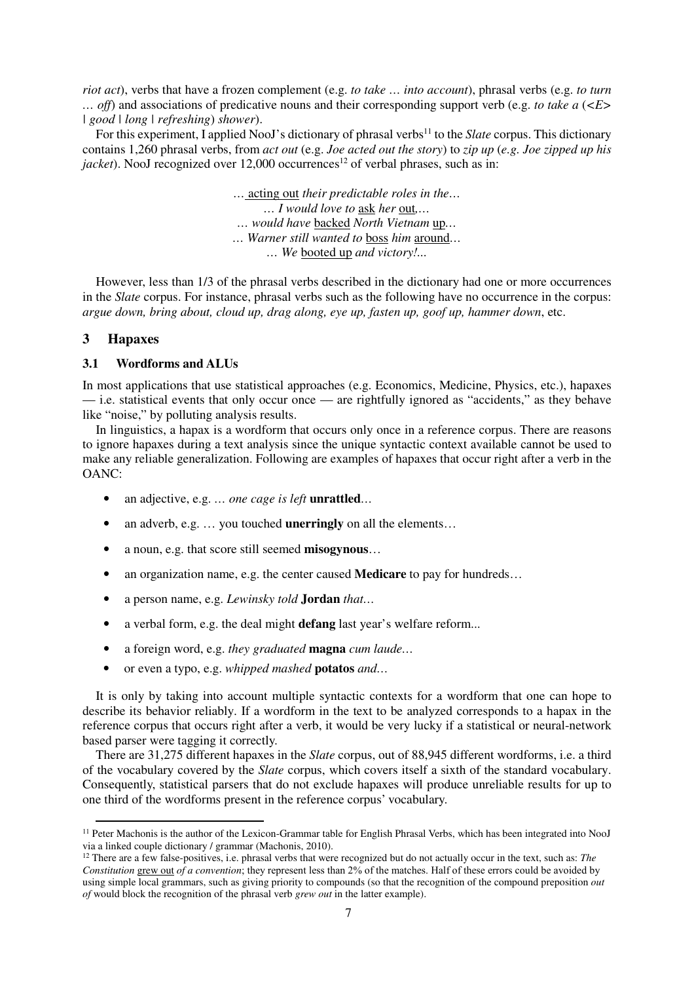*riot act*), verbs that have a frozen complement (e.g. *to take … into account*), phrasal verbs (e.g. *to turn … off*) and associations of predicative nouns and their corresponding support verb (e.g. *to take a* (*<E> | good | long | refreshing*) *shower*).

For this experiment, I applied NooJ's dictionary of phrasal verbs<sup>11</sup> to the *Slate* corpus. This dictionary contains 1,260 phrasal verbs, from *act out* (e.g. *Joe acted out the story*) to *zip up* (*e.g. Joe zipped up his jacket*). NooJ recognized over  $12,000$  occurrences<sup>12</sup> of verbal phrases, such as in:

> *…* acting out *their predictable roles in the… … I would love to* ask *her* out*,… … would have* backed *North Vietnam* up*… … Warner still wanted to* boss *him* around*… … We* booted up *and victory!...*

However, less than 1/3 of the phrasal verbs described in the dictionary had one or more occurrences in the *Slate* corpus. For instance, phrasal verbs such as the following have no occurrence in the corpus: *argue down, bring about, cloud up, drag along, eye up, fasten up, goof up, hammer down*, etc.

## **3 Hapaxes**

 $\overline{a}$ 

## **3.1 Wordforms and ALUs**

In most applications that use statistical approaches (e.g. Economics, Medicine, Physics, etc.), hapaxes — i.e. statistical events that only occur once — are rightfully ignored as "accidents," as they behave like "noise," by polluting analysis results.

In linguistics, a hapax is a wordform that occurs only once in a reference corpus. There are reasons to ignore hapaxes during a text analysis since the unique syntactic context available cannot be used to make any reliable generalization. Following are examples of hapaxes that occur right after a verb in the OANC:

- an adjective, e.g. *… one cage is left* **unrattled***…*
- an adverb, e.g. … you touched **unerringly** on all the elements…
- a noun, e.g. that score still seemed **misogynous**…
- an organization name, e.g. the center caused **Medicare** to pay for hundreds...
- a person name, e.g. *Lewinsky told* **Jordan** *that…*
- a verbal form, e.g. the deal might **defang** last year's welfare reform...
- a foreign word, e.g. *they graduated* **magna** *cum laude…*
- or even a typo, e.g. *whipped mashed* **potatos** *and…*

It is only by taking into account multiple syntactic contexts for a wordform that one can hope to describe its behavior reliably. If a wordform in the text to be analyzed corresponds to a hapax in the reference corpus that occurs right after a verb, it would be very lucky if a statistical or neural-network based parser were tagging it correctly.

There are 31,275 different hapaxes in the *Slate* corpus, out of 88,945 different wordforms, i.e. a third of the vocabulary covered by the *Slate* corpus, which covers itself a sixth of the standard vocabulary. Consequently, statistical parsers that do not exclude hapaxes will produce unreliable results for up to one third of the wordforms present in the reference corpus' vocabulary.

<sup>&</sup>lt;sup>11</sup> Peter Machonis is the author of the Lexicon-Grammar table for English Phrasal Verbs, which has been integrated into NooJ via a linked couple dictionary / grammar (Machonis, 2010).

<sup>&</sup>lt;sup>12</sup> There are a few false-positives, i.e. phrasal verbs that were recognized but do not actually occur in the text, such as: *The Constitution* grew out *of a convention*; they represent less than 2% of the matches. Half of these errors could be avoided by using simple local grammars, such as giving priority to compounds (so that the recognition of the compound preposition *out of* would block the recognition of the phrasal verb *grew out* in the latter example).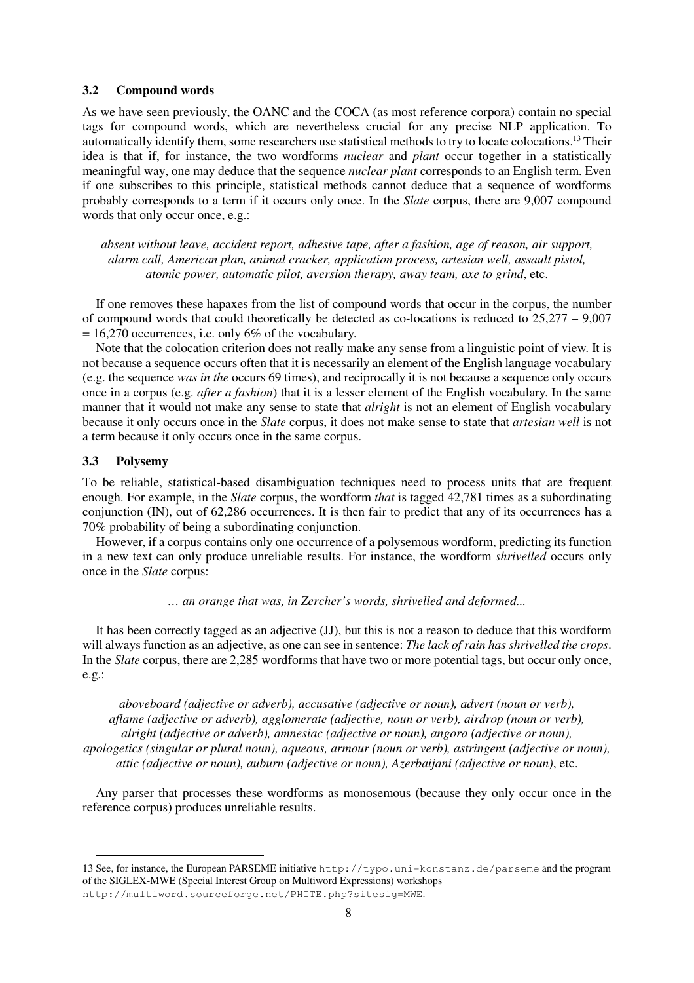## **3.2 Compound words**

As we have seen previously, the OANC and the COCA (as most reference corpora) contain no special tags for compound words, which are nevertheless crucial for any precise NLP application. To automatically identify them, some researchers use statistical methods to try to locate colocations.<sup>13</sup> Their idea is that if, for instance, the two wordforms *nuclear* and *plant* occur together in a statistically meaningful way, one may deduce that the sequence *nuclear plant* corresponds to an English term. Even if one subscribes to this principle, statistical methods cannot deduce that a sequence of wordforms probably corresponds to a term if it occurs only once. In the *Slate* corpus, there are 9,007 compound words that only occur once, e.g.:

*absent without leave, accident report, adhesive tape, after a fashion, age of reason, air support, alarm call, American plan, animal cracker, application process, artesian well, assault pistol, atomic power, automatic pilot, aversion therapy, away team, axe to grind*, etc.

If one removes these hapaxes from the list of compound words that occur in the corpus, the number of compound words that could theoretically be detected as co-locations is reduced to 25,277 – 9,007  $= 16,270$  occurrences, i.e. only 6% of the vocabulary.

Note that the colocation criterion does not really make any sense from a linguistic point of view. It is not because a sequence occurs often that it is necessarily an element of the English language vocabulary (e.g. the sequence *was in the* occurs 69 times), and reciprocally it is not because a sequence only occurs once in a corpus (e.g. *after a fashion*) that it is a lesser element of the English vocabulary. In the same manner that it would not make any sense to state that *alright* is not an element of English vocabulary because it only occurs once in the *Slate* corpus, it does not make sense to state that *artesian well* is not a term because it only occurs once in the same corpus.

#### **3.3 Polysemy**

 $\overline{a}$ 

To be reliable, statistical-based disambiguation techniques need to process units that are frequent enough. For example, in the *Slate* corpus, the wordform *that* is tagged 42,781 times as a subordinating conjunction (IN), out of 62,286 occurrences. It is then fair to predict that any of its occurrences has a 70% probability of being a subordinating conjunction.

However, if a corpus contains only one occurrence of a polysemous wordform, predicting its function in a new text can only produce unreliable results. For instance, the wordform *shrivelled* occurs only once in the *Slate* corpus:

*… an orange that was, in Zercher's words, shrivelled and deformed...* 

It has been correctly tagged as an adjective (JJ), but this is not a reason to deduce that this wordform will always function as an adjective, as one can see in sentence: *The lack of rain has shrivelled the crops*. In the *Slate* corpus, there are 2,285 wordforms that have two or more potential tags, but occur only once, e.g.:

*aboveboard (adjective or adverb), accusative (adjective or noun), advert (noun or verb), aflame (adjective or adverb), agglomerate (adjective, noun or verb), airdrop (noun or verb), alright (adjective or adverb), amnesiac (adjective or noun), angora (adjective or noun), apologetics (singular or plural noun), aqueous, armour (noun or verb), astringent (adjective or noun), attic (adjective or noun), auburn (adjective or noun), Azerbaijani (adjective or noun)*, etc.

Any parser that processes these wordforms as monosemous (because they only occur once in the reference corpus) produces unreliable results.

<sup>13</sup> See, for instance, the European PARSEME initiative http://typo.uni-konstanz.de/parseme and the program of the SIGLEX-MWE (Special Interest Group on Multiword Expressions) workshops http://multiword.sourceforge.net/PHITE.php?sitesig=MWE.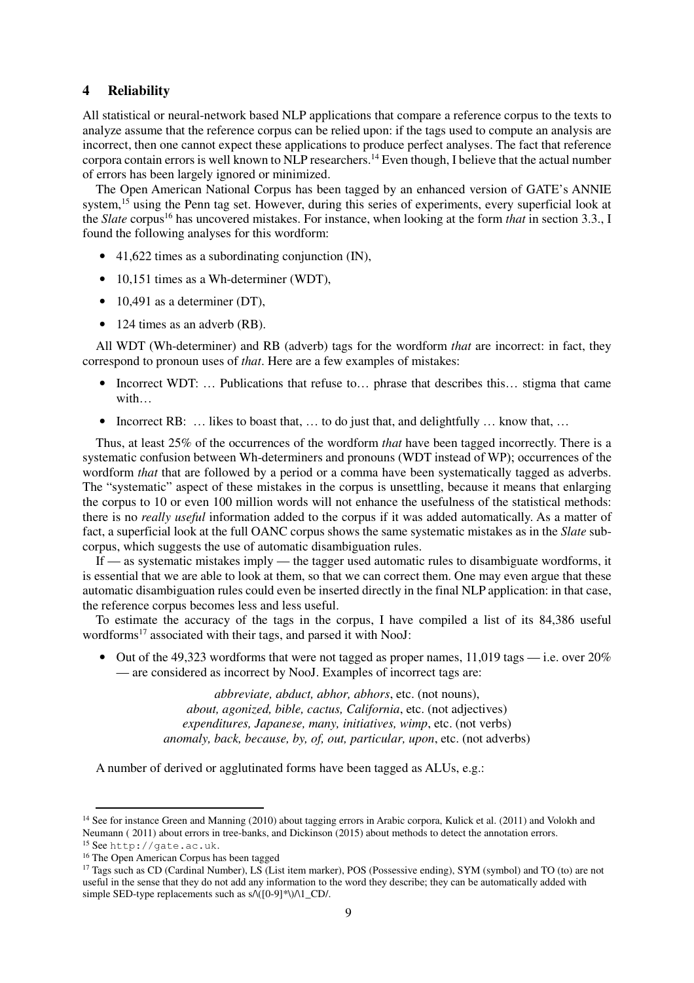# **4 Reliability**

All statistical or neural-network based NLP applications that compare a reference corpus to the texts to analyze assume that the reference corpus can be relied upon: if the tags used to compute an analysis are incorrect, then one cannot expect these applications to produce perfect analyses. The fact that reference corpora contain errors is well known to NLP researchers.<sup>14</sup> Even though, I believe that the actual number of errors has been largely ignored or minimized.

The Open American National Corpus has been tagged by an enhanced version of GATE's ANNIE system,<sup>15</sup> using the Penn tag set. However, during this series of experiments, every superficial look at the *Slate* corpus<sup>16</sup> has uncovered mistakes. For instance, when looking at the form *that* in section 3.3., I found the following analyses for this wordform:

- 41,622 times as a subordinating conjunction (IN),
- 10,151 times as a Wh-determiner (WDT),
- 10,491 as a determiner (DT),
- 124 times as an adverb (RB).

All WDT (Wh-determiner) and RB (adverb) tags for the wordform *that* are incorrect: in fact, they correspond to pronoun uses of *that*. Here are a few examples of mistakes:

- Incorrect WDT: ... Publications that refuse to... phrase that describes this... stigma that came with…
- Incorrect RB: ... likes to boast that, ... to do just that, and delightfully ... know that, ...

Thus, at least 25% of the occurrences of the wordform *that* have been tagged incorrectly. There is a systematic confusion between Wh-determiners and pronouns (WDT instead of WP); occurrences of the wordform *that* that are followed by a period or a comma have been systematically tagged as adverbs. The "systematic" aspect of these mistakes in the corpus is unsettling, because it means that enlarging the corpus to 10 or even 100 million words will not enhance the usefulness of the statistical methods: there is no *really useful* information added to the corpus if it was added automatically. As a matter of fact, a superficial look at the full OANC corpus shows the same systematic mistakes as in the *Slate* subcorpus, which suggests the use of automatic disambiguation rules.

If — as systematic mistakes imply — the tagger used automatic rules to disambiguate wordforms, it is essential that we are able to look at them, so that we can correct them. One may even argue that these automatic disambiguation rules could even be inserted directly in the final NLP application: in that case, the reference corpus becomes less and less useful.

To estimate the accuracy of the tags in the corpus, I have compiled a list of its 84,386 useful wordforms<sup>17</sup> associated with their tags, and parsed it with NooJ:

• Out of the 49,323 wordforms that were not tagged as proper names, 11,019 tags — i.e. over  $20\%$ — are considered as incorrect by NooJ. Examples of incorrect tags are:

> *abbreviate, abduct, abhor, abhors*, etc. (not nouns), *about, agonized, bible, cactus, California*, etc. (not adjectives) *expenditures, Japanese, many, initiatives, wimp*, etc. (not verbs) *anomaly, back, because, by, of, out, particular, upon*, etc. (not adverbs)

A number of derived or agglutinated forms have been tagged as ALUs, e.g.:

j

<sup>&</sup>lt;sup>14</sup> See for instance Green and Manning (2010) about tagging errors in Arabic corpora, Kulick et al. (2011) and Volokh and Neumann ( 2011) about errors in tree-banks, and Dickinson (2015) about methods to detect the annotation errors. <sup>15</sup> See http://gate.ac.uk.

<sup>16</sup> The Open American Corpus has been tagged

<sup>17</sup> Tags such as CD (Cardinal Number), LS (List item marker), POS (Possessive ending), SYM (symbol) and TO (to) are not useful in the sense that they do not add any information to the word they describe; they can be automatically added with simple SED-type replacements such as s/\([0-9]\*\)/\1\_CD/.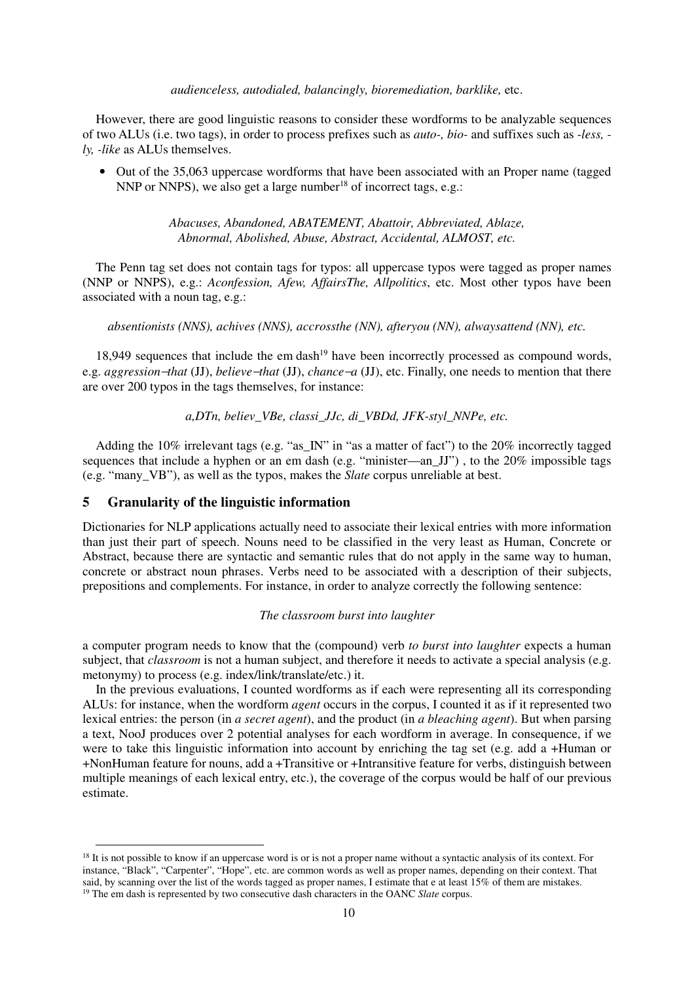#### *audienceless, autodialed, balancingly, bioremediation, barklike,* etc.

However, there are good linguistic reasons to consider these wordforms to be analyzable sequences of two ALUs (i.e. two tags), in order to process prefixes such as *auto-, bio-* and suffixes such as *-less, ly, -like* as ALUs themselves.

• Out of the 35,063 uppercase wordforms that have been associated with an Proper name (tagged NNP or NNPS), we also get a large number<sup>18</sup> of incorrect tags, e.g.:

> *Abacuses, Abandoned, ABATEMENT, Abattoir, Abbreviated, Ablaze, Abnormal, Abolished, Abuse, Abstract, Accidental, ALMOST, etc.*

The Penn tag set does not contain tags for typos: all uppercase typos were tagged as proper names (NNP or NNPS), e.g.: *Aconfession, Afew, AffairsThe, Allpolitics*, etc. Most other typos have been associated with a noun tag, e.g.:

*absentionists (NNS), achives (NNS), accrossthe (NN), afteryou (NN), alwaysattend (NN), etc.* 

18,949 sequences that include the em dash<sup>19</sup> have been incorrectly processed as compound words, e.g. *aggression*−*that* (JJ), *believe*−*that* (JJ), *chance*−*a* (JJ), etc. Finally, one needs to mention that there are over 200 typos in the tags themselves, for instance:

*a,DTn, believ\_VBe, classi\_JJc, di\_VBDd, JFK-styl\_NNPe, etc.* 

Adding the 10% irrelevant tags (e.g. "as\_IN" in "as a matter of fact") to the 20% incorrectly tagged sequences that include a hyphen or an em dash (e.g. "minister—an\_JJ") , to the 20% impossible tags (e.g. "many\_VB"), as well as the typos, makes the *Slate* corpus unreliable at best.

## **5 Granularity of the linguistic information**

 $\overline{a}$ 

Dictionaries for NLP applications actually need to associate their lexical entries with more information than just their part of speech. Nouns need to be classified in the very least as Human, Concrete or Abstract, because there are syntactic and semantic rules that do not apply in the same way to human, concrete or abstract noun phrases. Verbs need to be associated with a description of their subjects, prepositions and complements. For instance, in order to analyze correctly the following sentence:

#### *The classroom burst into laughter*

a computer program needs to know that the (compound) verb *to burst into laughter* expects a human subject, that *classroom* is not a human subject, and therefore it needs to activate a special analysis (e.g. metonymy) to process (e.g. index/link/translate/etc.) it.

In the previous evaluations, I counted wordforms as if each were representing all its corresponding ALUs: for instance, when the wordform *agent* occurs in the corpus, I counted it as if it represented two lexical entries: the person (in *a secret agent*), and the product (in *a bleaching agent*). But when parsing a text, NooJ produces over 2 potential analyses for each wordform in average. In consequence, if we were to take this linguistic information into account by enriching the tag set (e.g. add a +Human or +NonHuman feature for nouns, add a +Transitive or +Intransitive feature for verbs, distinguish between multiple meanings of each lexical entry, etc.), the coverage of the corpus would be half of our previous estimate.

<sup>&</sup>lt;sup>18</sup> It is not possible to know if an uppercase word is or is not a proper name without a syntactic analysis of its context. For instance, "Black", "Carpenter", "Hope", etc. are common words as well as proper names, depending on their context. That said, by scanning over the list of the words tagged as proper names, I estimate that e at least 15% of them are mistakes. <sup>19</sup> The em dash is represented by two consecutive dash characters in the OANC *Slate* corpus.